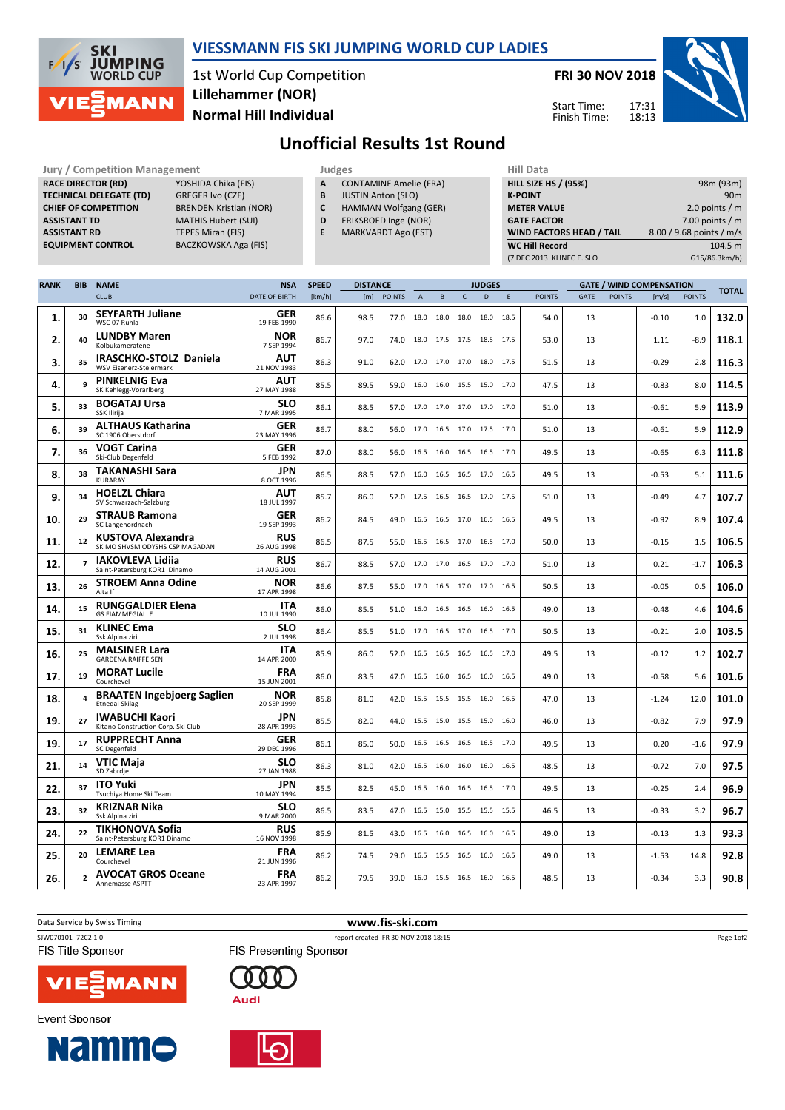

## VIESSMANN FIS SKI JUMPING WORLD CUP LADIES

1st World Cup Competition Normal Hill Individual Lillehammer (NOR)

FRI 30 NOV 2018

Start Time: Finish Time:



## Unofficial Results 1st Round

Jury / Competition Management **Judges** Judges Hill Data<br>
RACE DIRECTOR (RD) YOSHIDA Chika (FIS) **A** CONTAMINE Amelie (FRA) HILL SIZE HILL SIZE **RACE DIRECTOR (RD) TECHNICAL DELEGATE (TD)** GREGER Ivo (CZE)<br> **CHIEF OF COMPETITION** BRENDEN Kristian (NOR) CHIEF OF COMPETITION ASSISTANT TD MATHIS Hubert (SUI) **ASSISTANT RD** TEPES Miran (FIS)<br> **EQUIPMENT CONTROL** BACZKOWSKA Aga

BACZKOWSKA Aga (FIS)

- A CONTAMINE Amelie (FRA)
- **B** JUSTIN Anton (SLO)<br>**C** HAMMAN Wolfgang
- HAMMAN Wolfgang (GER)
- D ERIKSROED Inge (NOR)
- E MARKVARDT Ago (EST)

| <b>HILL SIZE HS / (95%)</b>     | 98m (93m)                |
|---------------------------------|--------------------------|
| <b>K-POINT</b>                  | 90 <sub>m</sub>          |
| <b>METER VALUE</b>              | 2.0 points $/m$          |
| <b>GATE FACTOR</b>              | 7.00 points $/m$         |
| <b>WIND FACTORS HEAD / TAIL</b> | 8.00 / 9.68 points / m/s |
| <b>WC Hill Record</b>           | 104.5 m                  |
| (7 DEC 2013 KLINEC E. SLO       | G15/86.3km/h)            |
|                                 |                          |

| <b>RANK</b> | <b>BIB</b>     | <b>NAME</b>                                                 | <b>NSA</b>                | <b>SPEED</b> | <b>DISTANCE</b> |               | <b>JUDGES</b> |                          |                |      | <b>GATE / WIND COMPENSATION</b> |               |      |               |         |               |              |
|-------------|----------------|-------------------------------------------------------------|---------------------------|--------------|-----------------|---------------|---------------|--------------------------|----------------|------|---------------------------------|---------------|------|---------------|---------|---------------|--------------|
|             |                | <b>CLUB</b>                                                 | DATE OF BIRTH             | [km/h]       | [m]             | <b>POINTS</b> | $\mathsf{A}$  | $\,$ B                   | $\mathsf C$    | D    | E                               | <b>POINTS</b> | GATE | <b>POINTS</b> | [m/s]   | <b>POINTS</b> | <b>TOTAL</b> |
| 1.          | 30             | <b>SEYFARTH Juliane</b><br>WSC 07 Ruhla                     | GER<br>19 FEB 1990        | 86.6         | 98.5            | 77.0          |               | 18.0 18.0                | 18.0           | 18.0 | 18.5                            | 54.0          | 13   |               | $-0.10$ | 1.0           | 132.0        |
| 2.          | 40             | <b>LUNDBY Maren</b><br>Kolbukameratene                      | <b>NOR</b><br>7 SEP 1994  | 86.7         | 97.0            | 74.0          |               | 18.0 17.5 17.5 18.5 17.5 |                |      |                                 | 53.0          | 13   |               | 1.11    | $-8.9$        | 118.1        |
| 3.          | 35             | <b>IRASCHKO-STOLZ Daniela</b><br>WSV Eisenerz-Steiermark    | <b>AUT</b><br>21 NOV 1983 | 86.3         | 91.0            | 62.0          | 17.0          | 17.0                     | 17.0 18.0      |      | 17.5                            | 51.5          | 13   |               | $-0.29$ | 2.8           | 116.3        |
| 4.          | 9              | <b>PINKELNIG Eva</b><br>SK Kehlegg-Vorarlberg               | AUT<br>27 MAY 1988        | 85.5         | 89.5            | 59.0          |               | 16.0 16.0                | 15.5 15.0      |      | 17.0                            | 47.5          | 13   |               | $-0.83$ | 8.0           | 114.5        |
| 5.          | 33             | <b>BOGATAJ Ursa</b><br><b>SSK Ilirija</b>                   | <b>SLO</b><br>7 MAR 1995  | 86.1         | 88.5            | 57.0          |               | 17.0 17.0 17.0 17.0 17.0 |                |      |                                 | 51.0          | 13   |               | $-0.61$ | 5.9           | 113.9        |
| 6.          | 39             | <b>ALTHAUS Katharina</b><br>SC 1906 Oberstdorf              | GER<br>23 MAY 1996        | 86.7         | 88.0            | 56.0          |               | 17.0 16.5 17.0 17.5 17.0 |                |      |                                 | 51.0          | 13   |               | $-0.61$ | 5.9           | 112.9        |
| 7.          | 36             | <b>VOGT Carina</b><br>Ski-Club Degenfeld                    | <b>GER</b><br>5 FEB 1992  | 87.0         | 88.0            | 56.0          |               | 16.5 16.0 16.5 16.5      |                |      | 17.0                            | 49.5          | 13   |               | $-0.65$ | 6.3           | 111.8        |
| 8.          | 38             | <b>TAKANASHI Sara</b><br><b>KURARAY</b>                     | <b>JPN</b><br>8 OCT 1996  | 86.5         | 88.5            | 57.0          | 16.0          | 16.5                     | 16.5 17.0 16.5 |      |                                 | 49.5          | 13   |               | $-0.53$ | 5.1           | 111.6        |
| 9.          | 34             | <b>HOELZL Chiara</b><br>SV Schwarzach-Salzburg              | <b>AUT</b><br>18 JUL 1997 | 85.7         | 86.0            | 52.0          |               | 17.5 16.5 16.5 17.0 17.5 |                |      |                                 | 51.0          | 13   |               | $-0.49$ | 4.7           | 107.7        |
| 10.         | 29             | <b>STRAUB Ramona</b><br>SC Langenordnach                    | <b>GER</b><br>19 SEP 1993 | 86.2         | 84.5            | 49.0          |               | 16.5 16.5 17.0 16.5 16.5 |                |      |                                 | 49.5          | 13   |               | $-0.92$ | 8.9           | 107.4        |
| 11.         | 12             | KUSTOVA Alexandra<br>SK MO SHVSM ODYSHS CSP MAGADAN         | <b>RUS</b><br>26 AUG 1998 | 86.5         | 87.5            | 55.0          |               | 16.5 16.5                | 17.0 16.5      |      | 17.0                            | 50.0          | 13   |               | $-0.15$ | 1.5           | 106.5        |
| 12.         | $\overline{ }$ | IAKOVLEVA Lidiia<br>Saint-Petersburg KOR1 Dinamo            | <b>RUS</b><br>14 AUG 2001 | 86.7         | 88.5            | 57.0          |               | 17.0 17.0                | 16.5 17.0 17.0 |      |                                 | 51.0          | 13   |               | 0.21    | $-1.7$        | 106.3        |
| 13.         | 26             | <b>STROEM Anna Odine</b><br>Alta If                         | <b>NOR</b><br>17 APR 1998 | 86.6         | 87.5            | 55.0          |               | 17.0 16.5 17.0 17.0 16.5 |                |      |                                 | 50.5          | 13   |               | $-0.05$ | 0.5           | 106.0        |
| 14.         | 15             | <b>RUNGGALDIER Elena</b><br><b>GS FIAMMEGIALLE</b>          | <b>ITA</b><br>10 JUL 1990 | 86.0         | 85.5            | 51.0          |               | 16.0 16.5 16.5 16.0 16.5 |                |      |                                 | 49.0          | 13   |               | $-0.48$ | 4.6           | 104.6        |
| 15.         | 31             | <b>KLINEC Ema</b><br>Ssk Alpina ziri                        | <b>SLO</b><br>2 JUL 1998  | 86.4         | 85.5            | 51.0          |               | 17.0 16.5 17.0 16.5 17.0 |                |      |                                 | 50.5          | 13   |               | $-0.21$ | 2.0           | 103.5        |
| 16.         | 25             | <b>MALSINER Lara</b><br><b>GARDENA RAIFFEISEN</b>           | <b>ITA</b><br>14 APR 2000 | 85.9         | 86.0            | 52.0          | 16.5          | 16.5                     | 16.5 16.5      |      | 17.0                            | 49.5          | 13   |               | $-0.12$ | 1.2           | 102.7        |
| 17.         | 19             | <b>MORAT Lucile</b><br>Courchevel                           | <b>FRA</b><br>15 JUN 2001 | 86.0         | 83.5            | 47.0          |               | 16.5 16.0 16.5 16.0 16.5 |                |      |                                 | 49.0          | 13   |               | $-0.58$ | 5.6           | 101.6        |
| 18.         | 4              | <b>BRAATEN Ingebjoerg Saglien</b><br><b>Etnedal Skilag</b>  | <b>NOR</b><br>20 SEP 1999 | 85.8         | 81.0            | 42.0          |               | 15.5 15.5 15.5 16.0 16.5 |                |      |                                 | 47.0          | 13   |               | $-1.24$ | 12.0          | 101.0        |
| 19.         | 27             | <b>IWABUCHI Kaori</b><br>Kitano Construction Corp. Ski Club | JPN<br>28 APR 1993        | 85.5         | 82.0            | 44.0          |               | 15.5 15.0 15.5 15.0      |                |      | 16.0                            | 46.0          | 13   |               | $-0.82$ | 7.9           | 97.9         |
| 19.         | 17             | <b>RUPPRECHT Anna</b><br>SC Degenfeld                       | GER<br>29 DEC 1996        | 86.1         | 85.0            | 50.0          |               | 16.5 16.5 16.5 16.5      |                |      | 17.0                            | 49.5          | 13   |               | 0.20    | $-1.6$        | 97.9         |
| 21.         | 14             | <b>VTIC Maja</b><br>SD Zabrdje                              | <b>SLO</b><br>27 JAN 1988 | 86.3         | 81.0            | 42.0          |               | 16.5 16.0 16.0 16.0 16.5 |                |      |                                 | 48.5          | 13   |               | $-0.72$ | 7.0           | 97.5         |
| 22.         | 37             | <b>ITO Yuki</b><br>Tsuchiya Home Ski Team                   | <b>JPN</b><br>10 MAY 1994 | 85.5         | 82.5            | 45.0          |               | 16.5 16.0 16.5 16.5 17.0 |                |      |                                 | 49.5          | 13   |               | $-0.25$ | 2.4           | 96.9         |
| 23.         | 32             | <b>KRIZNAR Nika</b><br>Ssk Alpina ziri                      | <b>SLO</b><br>9 MAR 2000  | 86.5         | 83.5            | 47.0          |               | 16.5 15.0 15.5 15.5      |                |      | 15.5                            | 46.5          | 13   |               | $-0.33$ | 3.2           | 96.7         |
| 24.         | 22             | <b>TIKHONOVA Sofia</b><br>Saint-Petersburg KOR1 Dinamo      | <b>RUS</b><br>16 NOV 1998 | 85.9         | 81.5            | 43.0          | 16.5          | 16.0                     | 16.5 16.0      |      | 16.5                            | 49.0          | 13   |               | $-0.13$ | 1.3           | 93.3         |
| 25.         | 20             | <b>LEMARE Lea</b><br>Courchevel                             | <b>FRA</b><br>21 JUN 1996 | 86.2         | 74.5            | 29.0          |               | 16.5 15.5 16.5 16.0 16.5 |                |      |                                 | 49.0          | 13   |               | $-1.53$ | 14.8          | 92.8         |
| 26.         | $\mathbf{2}$   | <b>AVOCAT GROS Oceane</b><br>Annemasse ASPTT                | <b>FRA</b><br>23 APR 1997 | 86.2         | 79.5            | 39.0          |               | 16.0 15.5 16.5 16.0 16.5 |                |      |                                 | 48.5          | 13   |               | $-0.34$ | 3.3           | 90.8         |

Data Service by Swiss Timing **WWW.fis-ski.com** 



**FIS Title Sponsor** 

**Event Sponsor** 



**Namme** 

0 O O

**FIS Presenting Sponsor** 





Page 1of2